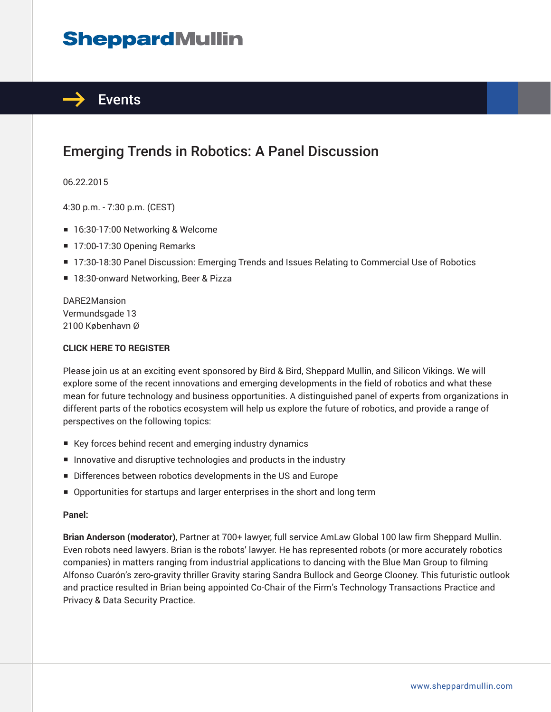# **SheppardMullin**



## Emerging Trends in Robotics: A Panel Discussion

06.22.2015

4:30 p.m. - 7:30 p.m. (CEST)

- 16:30-17:00 Networking & Welcome
- 17:00-17:30 Opening Remarks
- 17:30-18:30 Panel Discussion: Emerging Trends and Issues Relating to Commercial Use of Robotics
- 18:30-onward Networking, Beer & Pizza

DARE2Mansion Vermundsgade 13 2100 København Ø

#### **CLICK HERE TO REGISTER**

Please join us at an exciting event sponsored by Bird & Bird, Sheppard Mullin, and Silicon Vikings. We will explore some of the recent innovations and emerging developments in the field of robotics and what these mean for future technology and business opportunities. A distinguished panel of experts from organizations in different parts of the robotics ecosystem will help us explore the future of robotics, and provide a range of perspectives on the following topics:

- Key forces behind recent and emerging industry dynamics
- Innovative and disruptive technologies and products in the industry
- Differences between robotics developments in the US and Europe
- Opportunities for startups and larger enterprises in the short and long term

#### **Panel:**

**Brian Anderson (moderator)**, Partner at 700+ lawyer, full service AmLaw Global 100 law firm Sheppard Mullin. Even robots need lawyers. Brian is the robots' lawyer. He has represented robots (or more accurately robotics companies) in matters ranging from industrial applications to dancing with the Blue Man Group to filming Alfonso Cuarón's zero-gravity thriller Gravity staring Sandra Bullock and George Clooney. This futuristic outlook and practice resulted in Brian being appointed Co-Chair of the Firm's Technology Transactions Practice and Privacy & Data Security Practice.